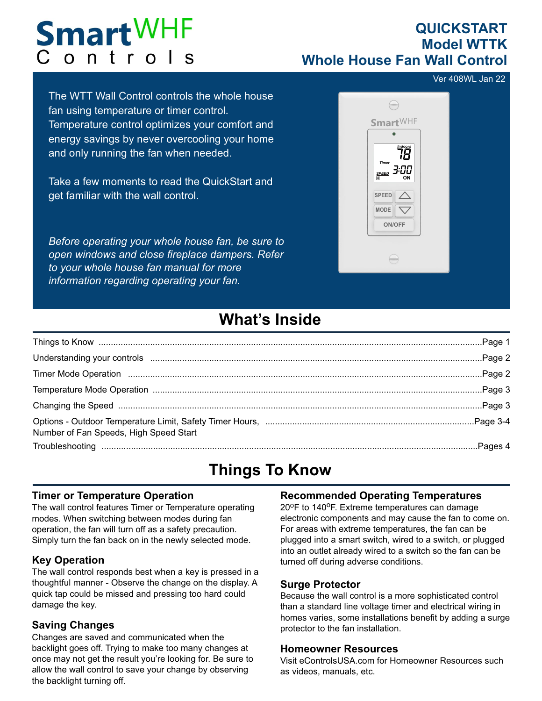# **Smart WHF** Controls

### **QUICKSTART Model WTTK Whole House Fan Wall Control**

Ver 408WL Jan 22

The WTT Wall Control controls the whole house fan using temperature or timer control. Temperature control optimizes your comfort and energy savings by never overcooling your home and only running the fan when needed.

Take a few moments to read the QuickStart and get familiar with the wall control.

*Before operating your whole house fan, be sure to open windows and close fireplace dampers. Refer to your whole house fan manual for more information regarding operating your fan.*



### **What's Inside**

| Understanding your controls measurement and an example and all the control of a control of the control of the |  |
|---------------------------------------------------------------------------------------------------------------|--|
|                                                                                                               |  |
|                                                                                                               |  |
|                                                                                                               |  |
| Number of Fan Speeds, High Speed Start                                                                        |  |
|                                                                                                               |  |

## **Things To Know**

#### **Timer or Temperature Operation**

The wall control features Timer or Temperature operating modes. When switching between modes during fan operation, the fan will turn off as a safety precaution. Simply turn the fan back on in the newly selected mode.

#### **Key Operation**

The wall control responds best when a key is pressed in a thoughtful manner - Observe the change on the display. A quick tap could be missed and pressing too hard could damage the key.

#### **Saving Changes**

Changes are saved and communicated when the backlight goes off. Trying to make too many changes at once may not get the result you're looking for. Be sure to allow the wall control to save your change by observing the backlight turning off.

### **Recommended Operating Temperatures**

20°F to 140°F. Extreme temperatures can damage electronic components and may cause the fan to come on. For areas with extreme temperatures, the fan can be plugged into a smart switch, wired to a switch, or plugged into an outlet already wired to a switch so the fan can be turned off during adverse conditions.

#### **Surge Protector**

Because the wall control is a more sophisticated control than a standard line voltage timer and electrical wiring in homes varies, some installations benefit by adding a surge protector to the fan installation.

#### **Homeowner Resources**

Visit eControlsUSA.com for Homeowner Resources such as videos, manuals, etc.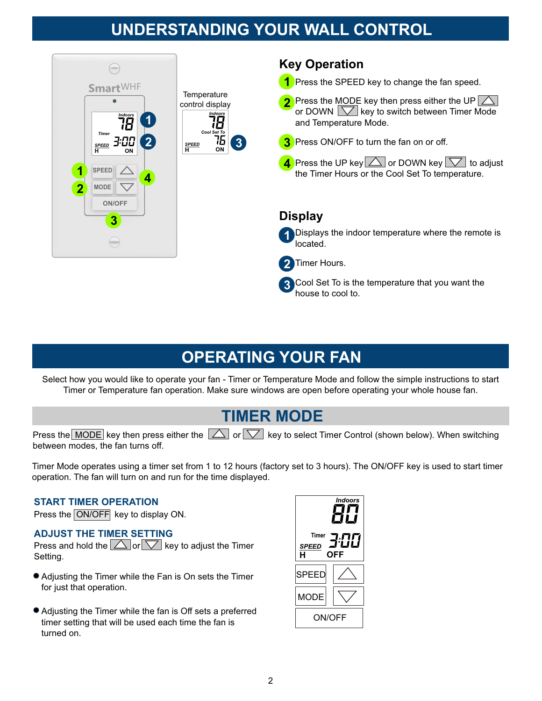### **UNDERSTANDING YOUR WALL CONTROL**



### **OPERATING YOUR FAN**

Select how you would like to operate your fan - Timer or Temperature Mode and follow the simple instructions to start Timer or Temperature fan operation. Make sure windows are open before operating your whole house fan.

### **TIMER MODE**

Press the MODE key then press either the  $\Box$  or  $\Box$  key to select Timer Control (shown below). When switching between modes, the fan turns off.

Timer Mode operates using a timer set from 1 to 12 hours (factory set to 3 hours). The ON/OFF key is used to start timer operation. The fan will turn on and run for the time displayed.

#### **START TIMER OPERATION**

Press the ON/OFF key to display ON.

#### **ADJUST THE TIMER SETTING**

Press and hold the  $\triangle$  or  $\triangledown$  key to adjust the Timer Setting.

- Adjusting the Timer while the Fan is On sets the Timer for just that operation.
- Adjusting the Timer while the fan is Off sets a preferred timer setting that will be used each time the fan is turned on.

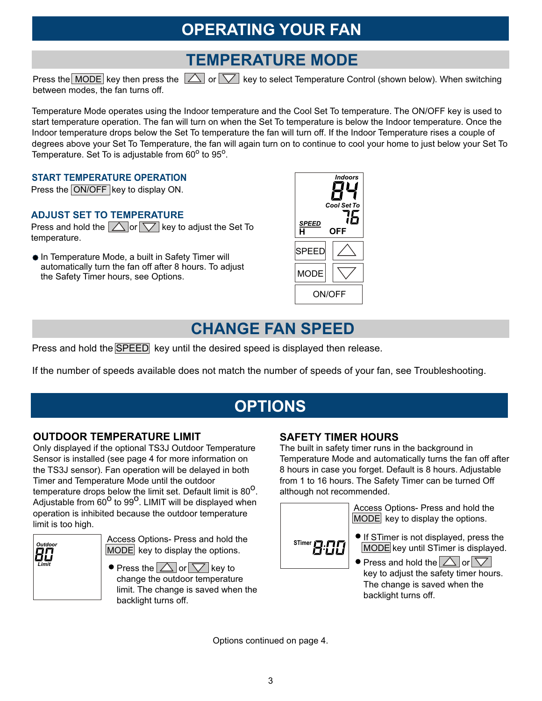### **OPERATING YOUR FAN**

### **TEMPERATURE MODE**

Press the MODE key then press the  $\Box$  or  $\nabla$  key to select Temperature Control (shown below). When switching between modes, the fan turns off.

Temperature Mode operates using the Indoor temperature and the Cool Set To temperature. The ON/OFF key is used to start temperature operation. The fan will turn on when the Set To temperature is below the Indoor temperature. Once the Indoor temperature drops below the Set To temperature the fan will turn off. If the Indoor Temperature rises a couple of degrees above your Set To Temperature, the fan will again turn on to continue to cool your home to just below your Set To Temperature. Set To is adjustable from  $60^{\circ}$  to  $95^{\circ}$ .

#### **START TEMPERATURE OPERATION**

Press the ON/OFF key to display ON.

#### **ADJUST SET TO TEMPERATURE**

Press and hold the  $\Delta$  or  $\nabla$  key to adjust the Set To temperature.

**• In Temperature Mode, a built in Safety Timer will** automatically turn the fan off after 8 hours. To adjust the Safety Timer hours, see Options.



### **CHANGE FAN SPEED**

Press and hold the SPEED key until the desired speed is displayed then release.

If the number of speeds available does not match the number of speeds of your fan, see Troubleshooting.

### **OPTIONS**

#### **OUTDOOR TEMPERATURE LIMIT SAFETY TIMER HOURS**

Only displayed if the optional TS3J Outdoor Temperature Sensor is installed (see page 4 for more information on the TS3J sensor). Fan operation will be delayed in both Timer and Temperature Mode until the outdoor temperature drops below the limit set. Default limit is 80<sup>o</sup>. Adjustable from  $60^{\circ}$  to  $99^{\circ}$ . LIMIT will be displayed when operation is inhibited because the outdoor temperature limit is too high.



Access Options- Press and hold the **STimer P.FTP**<br>MODE key to display the options. MODE key to display the options.

 $\bullet$  Press the  $\triangle$  or  $\triangledown$  key to change the outdoor temperature limit. The change is saved when the backlight turns off.

The built in safety timer runs in the background in Temperature Mode and automatically turns the fan off after 8 hours in case you forget. Default is 8 hours. Adjustable from 1 to 16 hours. The Safety Timer can be turned Off although not recommended.



Access Options- Press and hold the  $MODE$  key to display the options.

- If STimer is not displayed, press the MODE key until STimer is displayed.
- $\bullet$  Press and hold the  $\vert\bigtriangleup\vert$  or  $\vert\bigtriangledown\vert$ key to adjust the safety timer hours. The change is saved when the backlight turns off.

Options continued on page 4.